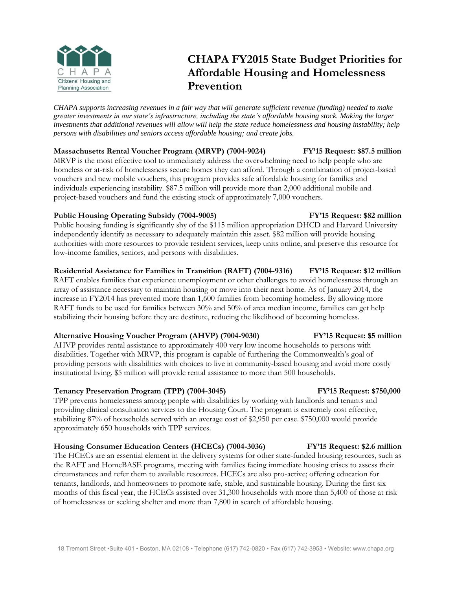

# **CHAPA FY2015 State Budget Priorities for Affordable Housing and Homelessness Prevention**

*CHAPA supports increasing revenues in a fair way that will generate sufficient revenue (funding) needed to make greater investments in our state's infrastructure, including the state's affordable housing stock. Making the larger investments that additional revenues will allow will help the state reduce homelessness and housing instability; help persons with disabilities and seniors access affordable housing; and create jobs.*

### **Massachusetts Rental Voucher Program (MRVP) (7004-9024) FY'15 Request: \$87.5 million**

MRVP is the most effective tool to immediately address the overwhelming need to help people who are homeless or at-risk of homelessness secure homes they can afford. Through a combination of project-based vouchers and new mobile vouchers, this program provides safe affordable housing for families and individuals experiencing instability. \$87.5 million will provide more than 2,000 additional mobile and project-based vouchers and fund the existing stock of approximately 7,000 vouchers.

### **Public Housing Operating Subsidy (7004-9005) FY'15 Request: \$82 million**

Public housing funding is significantly shy of the \$115 million appropriation DHCD and Harvard University independently identify as necessary to adequately maintain this asset. \$82 million will provide housing authorities with more resources to provide resident services, keep units online, and preserve this resource for low-income families, seniors, and persons with disabilities.

## **Residential Assistance for Families in Transition (RAFT) (7004-9316) FY'15 Request: \$12 million**

RAFT enables families that experience unemployment or other challenges to avoid homelessness through an array of assistance necessary to maintain housing or move into their next home. As of January 2014, the increase in FY2014 has prevented more than 1,600 families from becoming homeless. By allowing more RAFT funds to be used for families between 30% and 50% of area median income, families can get help stabilizing their housing before they are destitute, reducing the likelihood of becoming homeless.

## **Alternative Housing Voucher Program (AHVP) (7004-9030) FY'15 Request: \$5 million**

AHVP provides rental assistance to approximately 400 very low income households to persons with disabilities. Together with MRVP, this program is capable of furthering the Commonwealth's goal of providing persons with disabilities with choices to live in community-based housing and avoid more costly institutional living. \$5 million will provide rental assistance to more than 500 households.

### **Tenancy Preservation Program (TPP) (7004-3045) FY'15 Request: \$750,000**

TPP prevents homelessness among people with disabilities by working with landlords and tenants and providing clinical consultation services to the Housing Court. The program is extremely cost effective, stabilizing 87% of households served with an average cost of \$2,950 per case. \$750,000 would provide approximately 650 households with TPP services.

## **Housing Consumer Education Centers (HCECs) (7004-3036) FY'15 Request: \$2.6 million**

The HCECs are an essential element in the delivery systems for other state-funded housing resources, such as the RAFT and HomeBASE programs, meeting with families facing immediate housing crises to assess their circumstances and refer them to available resources. HCECs are also pro-active; offering education for tenants, landlords, and homeowners to promote safe, stable, and sustainable housing. During the first six months of this fiscal year, the HCECs assisted over 31,300 households with more than 5,400 of those at risk of homelessness or seeking shelter and more than 7,800 in search of affordable housing.